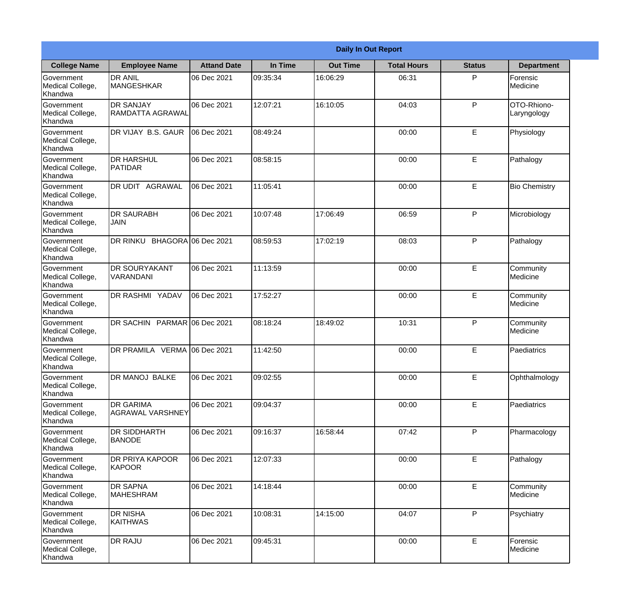|                                                  |                                             |                    |          | <b>Daily In Out Report</b> |                    |               |                            |
|--------------------------------------------------|---------------------------------------------|--------------------|----------|----------------------------|--------------------|---------------|----------------------------|
| <b>College Name</b>                              | <b>Employee Name</b>                        | <b>Attand Date</b> | In Time  | <b>Out Time</b>            | <b>Total Hours</b> | <b>Status</b> | <b>Department</b>          |
| Government<br>Medical College,<br>Khandwa        | <b>DR ANIL</b><br><b>MANGESHKAR</b>         | 06 Dec 2021        | 09:35:34 | 16:06:29                   | 06:31              | P             | Forensic<br>Medicine       |
| Government<br>Medical College,<br>Khandwa        | <b>DR SANJAY</b><br>RAMDATTA AGRAWAL        | 06 Dec 2021        | 12:07:21 | 16:10:05                   | 04:03              | P             | OTO-Rhiono-<br>Laryngology |
| <b>Government</b><br>Medical College,<br>Khandwa | <b>IDR VIJAY B.S. GAUR</b>                  | 06 Dec 2021        | 08:49:24 |                            | 00:00              | E             | Physiology                 |
| Government<br>Medical College,<br>Khandwa        | <b>I</b> DR HARSHUL<br>PATIDAR              | 06 Dec 2021        | 08:58:15 |                            | 00:00              | E             | Pathalogy                  |
| Government<br>Medical College,<br>Khandwa        | <b>DR UDIT AGRAWAL</b>                      | 06 Dec 2021        | 11:05:41 |                            | 00:00              | E             | <b>Bio Chemistry</b>       |
| Government<br>Medical College,<br>Khandwa        | <b>DR SAURABH</b><br><b>JAIN</b>            | 06 Dec 2021        | 10:07:48 | 17:06:49                   | 06:59              | P             | Microbiology               |
| Government<br>Medical College,<br>Khandwa        | DR RINKU BHAGORA 06 Dec 2021                |                    | 08:59:53 | 17:02:19                   | 08:03              | P             | Pathalogy                  |
| Government<br>Medical College,<br>Khandwa        | <b>DR SOURYAKANT</b><br>VARANDANI           | 06 Dec 2021        | 11:13:59 |                            | 00:00              | E             | Community<br>Medicine      |
| Government<br>Medical College,<br>Khandwa        | <b>DR RASHMI YADAV</b>                      | 06 Dec 2021        | 17:52:27 |                            | 00:00              | E             | Community<br>Medicine      |
| Government<br>Medical College,<br>Khandwa        | DR SACHIN PARMAR 06 Dec 2021                |                    | 08:18:24 | 18:49:02                   | 10:31              | P             | Community<br>Medicine      |
| Government<br>Medical College,<br>Khandwa        | DR PRAMILA VERMA 06 Dec 2021                |                    | 11:42:50 |                            | 00:00              | E             | Paediatrics                |
| Government<br>Medical College,<br>Khandwa        | DR MANOJ BALKE                              | 06 Dec 2021        | 09:02:55 |                            | 00:00              | E             | Ophthalmology              |
| Government<br>Medical College,<br>Khandwa        | <b>DR GARIMA</b><br><b>AGRAWAL VARSHNEY</b> | 06 Dec 2021        | 09:04:37 |                            | 00:00              | E             | Paediatrics                |
| Government<br>Medical College,<br>Khandwa        | <b>DR SIDDHARTH</b><br><b>BANODE</b>        | 06 Dec 2021        | 09:16:37 | 16:58:44                   | 07:42              | P             | Pharmacology               |
| Government<br>Medical College,<br>Khandwa        | <b>DR PRIYA KAPOOR</b><br>KAPOOR            | 06 Dec 2021        | 12:07:33 |                            | 00:00              | E             | Pathalogy                  |
| Government<br>Medical College,<br>Khandwa        | <b>DR SAPNA</b><br><b>MAHESHRAM</b>         | 06 Dec 2021        | 14:18:44 |                            | 00:00              | $\mathsf E$   | Community<br>Medicine      |
| Government<br>Medical College,<br>Khandwa        | <b>DR NISHA</b><br>KAITHWAS                 | 06 Dec 2021        | 10:08:31 | 14:15:00                   | 04:07              | P             | Psychiatry                 |
| Government<br>Medical College,<br>Khandwa        | <b>DR RAJU</b>                              | 06 Dec 2021        | 09:45:31 |                            | 00:00              | E             | Forensic<br>Medicine       |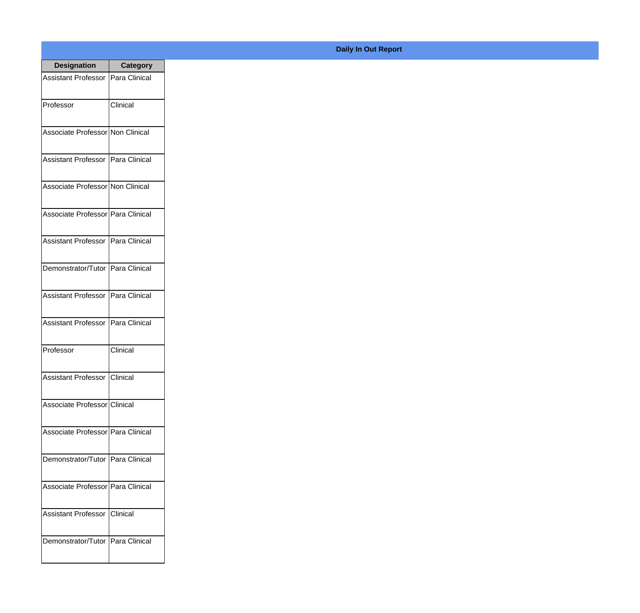| <b>Designation</b>                  | <b>Category</b> |
|-------------------------------------|-----------------|
| Assistant Professor   Para Clinical |                 |
| Professor                           | Clinical        |
| Associate Professor Non Clinical    |                 |
| Assistant Professor   Para Clinical |                 |
| Associate Professor Non Clinical    |                 |
| Associate Professor Para Clinical   |                 |
| Assistant Professor   Para Clinical |                 |
| Demonstrator/Tutor   Para Clinical  |                 |
| Assistant Professor   Para Clinical |                 |
| <b>Assistant Professor</b>          | Para Clinical   |
| Professor                           | Clinical        |
| Assistant Professor Clinical        |                 |
| Associate Professor Clinical        |                 |
| Associate Professor   Para Clinical |                 |
| Demonstrator/Tutor   Para Clinical  |                 |
| Associate Professor   Para Clinical |                 |
| Assistant Professor   Clinical      |                 |
| Demonstrator/Tutor   Para Clinical  |                 |

## **Daily In Out Report**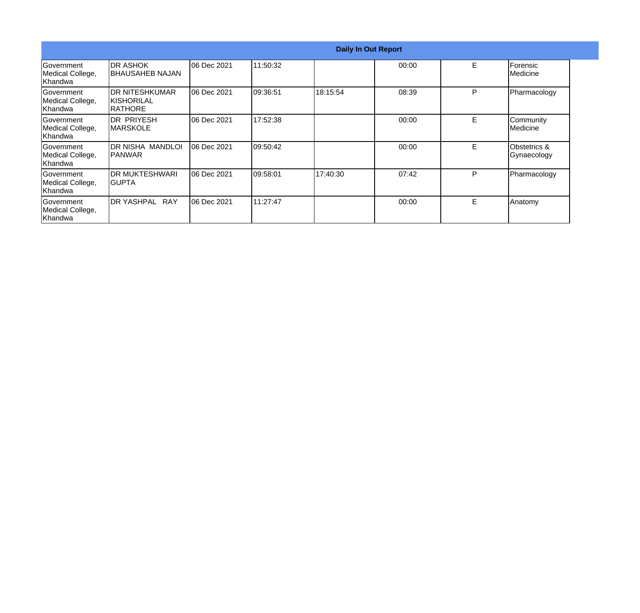|                                                  |                                                  |             |          | <b>Daily In Out Report</b> |       |   |                                        |
|--------------------------------------------------|--------------------------------------------------|-------------|----------|----------------------------|-------|---|----------------------------------------|
| Government<br>Medical College,<br>Khandwa        | IDR ASHOK<br><b>I</b> BHAUSAHEB NAJAN            | 06 Dec 2021 | 11:50:32 |                            | 00:00 | E | Forensic<br>Medicine                   |
| <b>Government</b><br>Medical College,<br>Khandwa | IDR NITESHKUMAR<br>IKISHORILAL<br><b>RATHORE</b> | 06 Dec 2021 | 09:36:51 | 18:15:54                   | 08:39 | P | Pharmacology                           |
| Government<br>Medical College,<br>Khandwa        | IDR PRIYESH<br><b>IMARSKOLE</b>                  | 06 Dec 2021 | 17:52:38 |                            | 00:00 | E | Community<br>Medicine                  |
| Government<br>Medical College,<br>Khandwa        | IDR NISHA MANDLOI<br>IPANWAR                     | 06 Dec 2021 | 09:50:42 |                            | 00:00 | E | <b>Obstetrics &amp;</b><br>Gynaecology |
| Government<br>Medical College,<br>Khandwa        | <b>IDR MUKTESHWARI</b><br>IGUPTA                 | 06 Dec 2021 | 09:58:01 | 17:40:30                   | 07:42 | P | Pharmacology                           |
| Government<br>Medical College,<br>Khandwa        | <b>DR YASHPAL</b><br><b>RAY</b>                  | 06 Dec 2021 | 11:27:47 |                            | 00:00 | E | Anatomy                                |